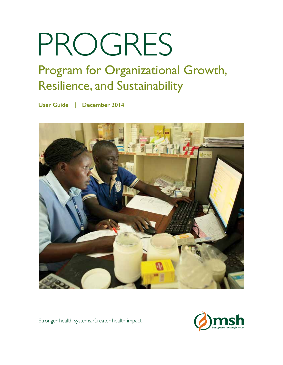# PROGRES

## Program for Organizational Growth, Resilience, and Sustainability

**User Guide | December 2014**



Stronger health systems. Greater health impact.

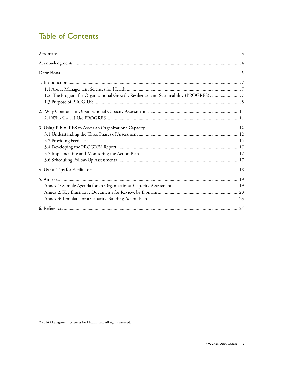## **Table of Contents**

| 1.2. The Program for Organizational Growth, Resilience, and Sustainability (PROGRES) 7 |  |
|----------------------------------------------------------------------------------------|--|
|                                                                                        |  |
|                                                                                        |  |
|                                                                                        |  |
|                                                                                        |  |
|                                                                                        |  |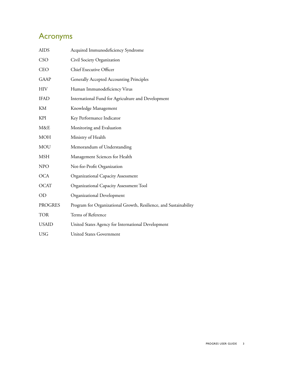## <span id="page-2-0"></span>Acronyms

| <b>AIDS</b>    | Acquired Immunodeficiency Syndrome                                |
|----------------|-------------------------------------------------------------------|
| <b>CSO</b>     | Civil Society Organization                                        |
| <b>CEO</b>     | Chief Executive Officer                                           |
| <b>GAAP</b>    | <b>Generally Accepted Accounting Principles</b>                   |
| <b>HIV</b>     | Human Immunodeficiency Virus                                      |
| <b>IFAD</b>    | International Fund for Agriculture and Development                |
| KM             | Knowledge Management                                              |
| <b>KPI</b>     | Key Performance Indicator                                         |
| M&E            | Monitoring and Evaluation                                         |
| <b>MOH</b>     | Ministry of Health                                                |
| MOU            | Memorandum of Understanding                                       |
| <b>MSH</b>     | Management Sciences for Health                                    |
| <b>NPO</b>     | Not-for-Profit Organization                                       |
| <b>OCA</b>     | Organizational Capacity Assessment                                |
| <b>OCAT</b>    | Organizational Capacity Assessment Tool                           |
| OD             | Organizational Development                                        |
| <b>PROGRES</b> | Program for Organizational Growth, Resilience, and Sustainability |
| <b>TOR</b>     | Terms of Reference                                                |
| <b>USAID</b>   | United States Agency for International Development                |
| <b>USG</b>     | <b>United States Government</b>                                   |
|                |                                                                   |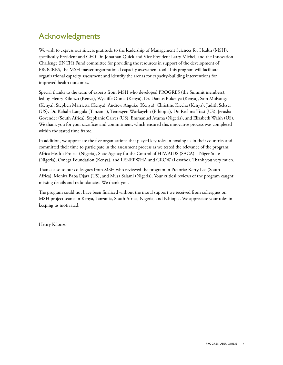## <span id="page-3-0"></span>Acknowledgments

We wish to express our sincere gratitude to the leadership of Management Sciences for Health (MSH), specifically President and CEO Dr. Jonathan Quick and Vice President Larry Michel, and the Innovation Challenge (INCH) Fund committee for providing the resources in support of the development of PROGRES, the MSH master organizational capacity assessment tool. This program will facilitate organizational capacity assessment and identify the arenas for capacity-building interventions for improved health outcomes.

Special thanks to the team of experts from MSH who developed PROGRES (the Summit members), led by Henry Kilonzo (Kenya), Wycliffe Ouma (Kenya), Dr. Daraus Bukenya (Kenya), Sam Mulyanga (Kenya), Stephen Marrietta (Kenya), Andrew Anguko (Kenya), Christine Kiecha (Kenya), Judith Seltzer (US), Dr. Kahabi Isangula (Tanzania), Temesgen Workayehu (Ethiopia), Dr. Reshma Trasi (US), Jerusha Govender (South Africa), Stephanie Calves (US), Emmanuel Atuma (Nigeria), and Elizabeth Walsh (US). We thank you for your sacrifices and commitment, which ensured this innovative process was completed within the stated time frame.

In addition, we appreciate the five organizations that played key roles in hosting us in their countries and committed their time to participate in the assessment process as we tested the relevance of the program: Africa Health Project (Nigeria), State Agency for the Control of HIV/AIDS (SACA) – Niger State (Nigeria), Omega Foundation (Kenya), and LENEPWHA and GROW (Lesotho). Thank you very much.

Thanks also to our colleagues from MSH who reviewed the program in Pretoria: Kerry Lee (South Africa), Monita Baba Djara (US), and Musa Salami (Nigeria). Your critical reviews of the program caught missing details and redundancies. We thank you.

The program could not have been finalized without the moral support we received from colleagues on MSH project teams in Kenya, Tanzania, South Africa, Nigeria, and Ethiopia. We appreciate your roles in keeping us motivated.

Henry Kilonzo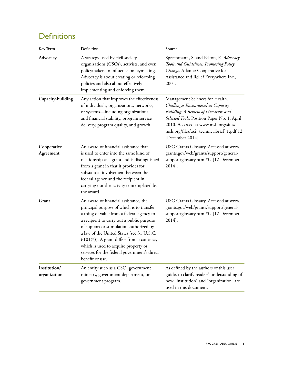## <span id="page-4-0"></span>**Definitions**

| Key Term                     | Definition                                                                                                                                                                                                                                                                                                                                                                                                                        | Source                                                                                                                                                                                                                                                                |
|------------------------------|-----------------------------------------------------------------------------------------------------------------------------------------------------------------------------------------------------------------------------------------------------------------------------------------------------------------------------------------------------------------------------------------------------------------------------------|-----------------------------------------------------------------------------------------------------------------------------------------------------------------------------------------------------------------------------------------------------------------------|
| Advocacy                     | A strategy used by civil society<br>organizations (CSOs), activists, and even<br>policymakers to influence policymaking.<br>Advocacy is about creating or reforming<br>policies and also about effectively<br>implementing and enforcing them.                                                                                                                                                                                    | Sprechmann, S. and Pelton, E. Advocacy<br>Tools and Guidelines: Promoting Policy<br>Change. Atlanta: Cooperative for<br>Assistance and Relief Everywhere Inc.,<br>2001.                                                                                               |
| Capacity-building            | Any action that improves the effectiveness<br>of individuals, organizations, networks,<br>or systems-including organizational<br>and financial stability, program service<br>delivery, program quality, and growth.                                                                                                                                                                                                               | Management Sciences for Health.<br>Challenges Encountered in Capacity<br>Building: A Review of Literature and<br>Selected Tools, Position Paper No. 1, April<br>2010. Accessed at www.msh.org/sites/<br>msh.org/files/as2_technicalbrief_1.pdf 12<br>[December 2014]. |
| Cooperative<br>Agreement     | An award of financial assistance that<br>is used to enter into the same kind of<br>relationship as a grant and is distinguished<br>from a grant in that it provides for<br>substantial involvement between the<br>federal agency and the recipient in<br>carrying out the activity contemplated by<br>the award.                                                                                                                  | USG Grants Glossary. Accessed at www.<br>grants.gov/web/grants/support/general-<br>support/glossary.html#G [12 December<br>2014].                                                                                                                                     |
| Grant                        | An award of financial assistance, the<br>principal purpose of which is to transfer<br>a thing of value from a federal agency to<br>a recipient to carry out a public purpose<br>of support or stimulation authorized by<br>a law of the United States (see 31 U.S.C.<br>$(6101(3))$ . A grant differs from a contract,<br>which is used to acquire property or<br>services for the federal government's direct<br>benefit or use. | USG Grants Glossary. Accessed at www.<br>grants.gov/web/grants/support/general-<br>support/glossary.html#G [12 December<br>2014].                                                                                                                                     |
| Institution/<br>organization | An entity such as a CSO, government<br>ministry, government department, or<br>government program.                                                                                                                                                                                                                                                                                                                                 | As defined by the authors of this user<br>guide, to clarify readers' understanding of<br>how "institution" and "organization" are<br>used in this document.                                                                                                           |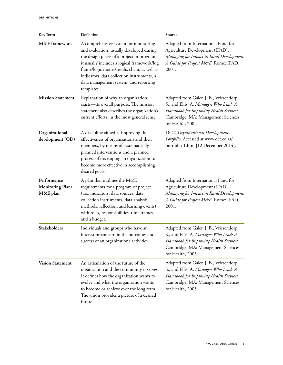| Key Term                                           | Definition                                                                                                                                                                                                                                                                                                                        | Source                                                                                                                                                                                  |
|----------------------------------------------------|-----------------------------------------------------------------------------------------------------------------------------------------------------------------------------------------------------------------------------------------------------------------------------------------------------------------------------------|-----------------------------------------------------------------------------------------------------------------------------------------------------------------------------------------|
| M&E framework                                      | A comprehensive system for monitoring<br>and evaluation, usually developed during<br>the design phase of a project or program;<br>it usually includes a logical framework/log<br>frame/logic model/results chain, as well as<br>indicators, data collection instruments, a<br>data management system, and reporting<br>templates. | Adapted from International Fund for<br>Agriculture Development (IFAD).<br>Managing for Impact in Rural Development:<br>A Guide for Project M&E. Rome: IFAD,<br>2001.                    |
| <b>Mission Statement</b>                           | Explanation of why an organization<br>exists—its overall purpose. The mission<br>statement also describes the organization's<br>current efforts, in the most general sense.                                                                                                                                                       | Adapted from Galer, J. B., Vriesendorp,<br>S., and Ellis, A. Managers Who Lead: A<br>Handbook for Improving Health Services.<br>Cambridge, MA: Management Sciences<br>for Health, 2005. |
| Organizational<br>development (OD)                 | A discipline aimed at improving the<br>effectiveness of organizations and their<br>members, by means of systematically<br>planned interventions and a planned<br>process of developing an organization to<br>become more effective in accomplishing<br>desired goals.                                                             | DCT, Organisational Development<br>Portfolio. Accessed at www.dct.co.za/<br>portfolio-1.htm [12 December 2014].                                                                         |
| Performance<br><b>Monitoring Plan/</b><br>M&E plan | A plan that outlines the M&E<br>requirements for a program or project<br>(i.e., indicators, data sources, data<br>collection instruments, data analysis<br>methods, reflection, and learning events)<br>with roles, responsibilities, time frames,<br>and a budget.                                                               | Adapted from International Fund for<br>Agriculture Development (IFAD).<br>Managing for Impact in Rural Development:<br>A Guide for Project M&E. Rome: IFAD,<br>2001.                    |
| Stakeholders                                       | Individuals and groups who have an<br>interest or concern in the outcomes and<br>success of an organization's activities.                                                                                                                                                                                                         | Adapted from Galer, J. B., Vriesendorp,<br>S., and Ellis, A. Managers Who Lead: A<br>Handbook for Improving Health Services.<br>Cambridge, MA: Management Sciences<br>for Health, 2005. |
| <b>Vision Statement</b>                            | An articulation of the future of the<br>organization and the community it serves.<br>It defines how the organization wants to<br>evolve and what the organization wants<br>to become or achieve over the long term.<br>The vision provides a picture of a desired<br>future.                                                      | Adapted from Galer, J. B., Vriesendorp,<br>S., and Ellis, A. Managers Who Lead: A<br>Handbook for Improving Health Services.<br>Cambridge, MA: Management Sciences<br>for Health, 2005. |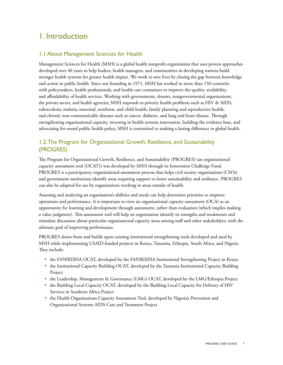## <span id="page-6-0"></span>1. Introduction

#### 1.1 About Management Sciences for Health

Management Sciences for Health (MSH) is a global health nonprofit organization that uses proven approaches developed over 40 years to help leaders, health managers, and communities in developing nations build stronger health systems for greater health impact. We work to save lives by closing the gap between knowledge and action in public health. Since our founding in 1971, MSH has worked in more than 150 countries with policymakers, health professionals, and health care consumers to improve the quality, availability, and affordability of health services. Working with governments, donors, nongovernmental organizations, the private sector, and health agencies, MSH responds to priority health problems such as HIV & AIDS; tuberculosis; malaria; maternal, newborn, and child health; family planning and reproductive health; and chronic non-communicable diseases such as cancer, diabetes, and lung and heart disease. Through strengthening organizational capacity, investing in health systems innovation, building the evidence base, and advocating for sound public health policy, MSH is committed to making a lasting difference in global health.

#### 1.2. The Program for Organizational Growth, Resilience, and Sustainability (PROGRES)

The Program for Organizational Growth, Resilience, and Sustainability (PROGRES) (an organizational capacity assessment tool [OCAT]) was developed by MSH through its Innovation Challenge Fund. PROGRES is a participatory organizational assessment process that helps civil society organizations (CSOs) and government institutions identify areas requiring support to foster sustainability and resilience. PROGRES can also be adapted for use by organizations working in areas outside of health.

Assessing and analyzing an organization's abilities and needs can help determine priorities to improve operations and performance. It is important to view an organizational capacity assessment (OCA) as an opportunity for learning and development through assessment, rather than evaluation (which implies making a value judgment). This assessment tool will help an organization identify its strengths and weaknesses and stimulate discussion about particular organizational capacity areas among staff and other stakeholders, with the ultimate goal of improving performance.

PROGRES draws from and builds upon existing institutional strengthening tools developed and used by MSH while implementing USAID-funded projects in Kenya, Tanzania, Ethiopia, South Africa, and Nigeria. They include:

- the FANIKISHA OCAT, developed by the FANIKISHA Institutional Strengthening Project in Kenya
- the Institutional Capacity Building OCAT, developed by the Tanzania Institutional Capacity Building Project
- the Leadership, Management & Governance (LMG) OCAT, developed by the LMG/Ethiopia Project
- the Building Local Capacity OCAT, developed by the Building Local Capacity for Delivery of HIV Services in Southern Africa Project
- the Health Organizations Capacity Assessment Tool, developed by Nigeria's Prevention and Organizational Systems AIDS Care and Treatment Project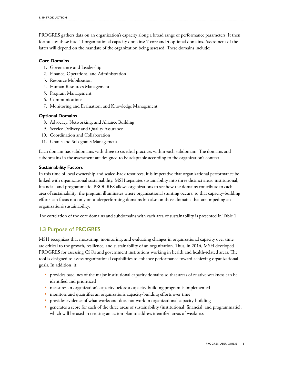<span id="page-7-0"></span>PROGRES gathers data on an organization's capacity along a broad range of performance parameters. It then formulates these into 11 organizational capacity domains: 7 core and 4 optional domains. Assessment of the latter will depend on the mandate of the organization being assessed. These domains include:

#### **Core Domains**

- 1. Governance and Leadership
- 2. Finance, Operations, and Administration
- 3. Resource Mobilization
- 4. Human Resources Management
- 5. Program Management
- 6. Communications
- 7. Monitoring and Evaluation, and Knowledge Management

#### **Optional Domains**

- 8. Advocacy, Networking, and Alliance Building
- 9. Service Delivery and Quality Assurance
- 10. Coordination and Collaboration
- 11. Grants and Sub-grants Management

Each domain has subdomains with three to six ideal practices within each subdomain. The domains and subdomains in the assessment are designed to be adaptable according to the organization's context.

#### **Sustainability Factors**

In this time of local ownership and scaled-back resources, it is imperative that organizational performance be linked with organizational sustainability. MSH separates sustainability into three distinct areas: institutional, financial, and programmatic. PROGRES allows organizations to see how the domains contribute to each area of sustainability; the program illuminates where organizational stunting occurs, so that capacity-building efforts can focus not only on underperforming domains but also on those domains that are impeding an organization's sustainability.

The correlation of the core domains and subdomains with each area of sustainability is presented in Table 1.

#### 1.3 Purpose of PROGRES

MSH recognizes that measuring, monitoring, and evaluating changes in organizational capacity over time are critical to the growth, resilience, and sustainability of an organization. Thus, in 2014, MSH developed PROGRES for assessing CSOs and government institutions working in health and health-related areas. The tool is designed to assess organizational capabilities to enhance performance toward achieving organizational goals. In addition, it:

- **•** provides baselines of the major institutional capacity domains so that areas of relative weakness can be identified and prioritized
- measures an organization's capacity before a capacity-building program is implemented
- monitors and quantifies an organization's capacity-building efforts over time
- provides evidence of what works and does not work in organizational capacity-building
- generates a score for each of the three areas of sustainability (institutional, financial, and programmatic), which will be used in creating an action plan to address identified areas of weakness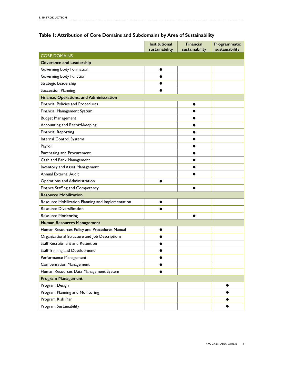|                                                   | <b>Institutional</b><br>sustainability | <b>Financial</b><br>sustainability | Programmatic<br>sustainability |
|---------------------------------------------------|----------------------------------------|------------------------------------|--------------------------------|
| <b>CORE DOMAINS</b>                               |                                        |                                    |                                |
| <b>Goverance and Leadership</b>                   |                                        |                                    |                                |
| Governing Body Formation                          |                                        |                                    |                                |
| Governing Body Function                           |                                        |                                    |                                |
| Strategic Leadership                              |                                        |                                    |                                |
| <b>Succession Planning</b>                        |                                        |                                    |                                |
| Finance, Operations, and Administration           |                                        |                                    |                                |
| <b>Financial Policies and Procedures</b>          |                                        | œ                                  |                                |
| Financial Management System                       |                                        |                                    |                                |
| <b>Budget Management</b>                          |                                        |                                    |                                |
| Accounting and Record-keeping                     |                                        |                                    |                                |
| <b>Financial Reporting</b>                        |                                        |                                    |                                |
| Internal Control Systems                          |                                        | $\bullet$                          |                                |
| Payroll                                           |                                        |                                    |                                |
| Purchasing and Procurement                        |                                        |                                    |                                |
| Cash and Bank Management                          |                                        |                                    |                                |
| Inventory and Asset Management                    |                                        | e                                  |                                |
| Annual External Audit                             |                                        |                                    |                                |
| Operations and Administration                     |                                        |                                    |                                |
| Finance Staffing and Competency                   |                                        |                                    |                                |
| <b>Resource Mobilization</b>                      |                                        |                                    |                                |
| Resource Mobilization Planning and Implementation |                                        |                                    |                                |
| <b>Resource Diversification</b>                   |                                        |                                    |                                |
| <b>Resource Monitoring</b>                        |                                        |                                    |                                |
| <b>Human Resources Management</b>                 |                                        |                                    |                                |
| Human Resources Policy and Procedures Manual      | 0                                      |                                    |                                |
| Organizational Structure and Job Descriptions     |                                        |                                    |                                |
| Staff Recruitment and Retention                   |                                        |                                    |                                |
| <b>Staff Training and Development</b>             |                                        |                                    |                                |
| Performance Management                            |                                        |                                    |                                |
| <b>Compensation Management</b>                    |                                        |                                    |                                |
| Human Resources Data Management System            | ●                                      |                                    |                                |
| <b>Program Management</b>                         |                                        |                                    |                                |
| Program Design                                    |                                        |                                    |                                |
| Program Planning and Monitoring                   |                                        |                                    |                                |
| Program Risk Plan                                 |                                        |                                    |                                |
| Program Sustainability                            |                                        |                                    |                                |

#### **Table 1: Attribution of Core Domains and Subdomains by Area of Sustainability**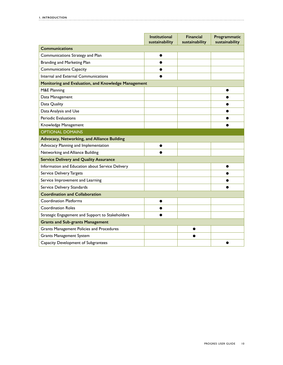|                                                     | Institutional<br>sustainability | <b>Financial</b><br>sustainability | Programmatic<br>sustainability |
|-----------------------------------------------------|---------------------------------|------------------------------------|--------------------------------|
| <b>Communications</b>                               |                                 |                                    |                                |
| Communications Strategy and Plan                    | 0                               |                                    |                                |
| Branding and Marketing Plan                         | ●                               |                                    |                                |
| <b>Communications Capacity</b>                      |                                 |                                    |                                |
| Internal and External Communications                |                                 |                                    |                                |
| Monitoring and Evaluation, and Knowledge Management |                                 |                                    |                                |
| M&E Planning                                        |                                 |                                    |                                |
| Data Management                                     |                                 |                                    |                                |
| Data Quality                                        |                                 |                                    |                                |
| Data Analysis and Use                               |                                 |                                    |                                |
| Periodic Evaluations                                |                                 |                                    |                                |
| Knowledge Management                                |                                 |                                    |                                |
| <b>OPTIONAL DOMAINS</b>                             |                                 |                                    |                                |
| Advocacy, Networking, and Alliance Building         |                                 |                                    |                                |
| Advocacy Planning and Implementation                |                                 |                                    |                                |
| Networking and Alliance Building                    |                                 |                                    |                                |
| <b>Service Delivery and Quality Assurance</b>       |                                 |                                    |                                |
| Information and Education about Service Delivery    |                                 |                                    |                                |
| Service Delivery Targets                            |                                 |                                    |                                |
| Service Improvement and Learning                    |                                 |                                    |                                |
| Service Delivery Standards                          |                                 |                                    |                                |
| <b>Coordination and Collaboration</b>               |                                 |                                    |                                |
| <b>Coordination Platforms</b>                       |                                 |                                    |                                |
| <b>Coordination Roles</b>                           |                                 |                                    |                                |
| Strategic Engagement and Support to Stakeholders    |                                 |                                    |                                |
| <b>Grants and Sub-grants Management</b>             |                                 |                                    |                                |
| Grants Management Policies and Procedures           |                                 |                                    |                                |
| <b>Grants Management System</b>                     |                                 |                                    |                                |
| Capacity Development of Subgrantees                 |                                 |                                    |                                |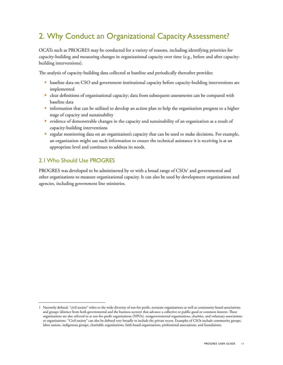## <span id="page-10-0"></span>2. Why Conduct an Organizational Capacity Assessment?

OCATs such as PROGRES may be conducted for a variety of reasons, including identifying priorities for capacity-building and measuring changes in organizational capacity over time (e.g., before and after capacitybuilding interventions).

The analysis of capacity-building data collected at baseline and periodically thereafter provides:

- **baseline data on CSO and government institutional capacity before capacity-building interventions are** implemented
- clear definitions of organizational capacity; data from subsequent assessments can be compared with baseline data
- **information that can be utilized to develop an action plan to help the organization progress to a higher** stage of capacity and sustainability
- evidence of demonstrable changes in the capacity and sustainability of an organization as a result of capacity-building interventions
- § regular monitoring data on an organization's capacity that can be used to make decisions. For example, an organization might use such information to ensure the technical assistance it is receiving is at an appropriate level and continues to address its needs.

#### 2.1 Who Should Use PROGRES

PROGRES was developed to be administered by or with a broad range of  $\mathrm{CSOs^1}$  and governmental and other organizations to measure organizational capacity. It can also be used by development organizations and agencies, including government line ministries.

<sup>1</sup> Narrowly defined, "civil society" refers to the wide diversity of not-for-profit, nonstate organizations as well as community-based associations and groups (distinct from both governmental and the business sectors) that advance a collective or public good or common interest. These organizations are also referred to as not-for-profit organizations (NPOs), nongovernmental organizations, charities, and voluntary associations or organizations. "Civil society" can also be defined very broadly to include the private sector. Examples of CSOs include community groups, labor unions, indigenous groups, charitable organizations, faith-based organizations, professional associations, and foundations.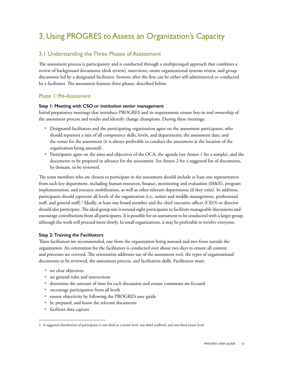## <span id="page-11-0"></span>3. Using PROGRES to Assess an Organization's Capacity

#### 3.1 Understanding the Three Phases of Assessment

The assessment process is participatory and is conducted through a multipronged approach that combines a review of background documents (desk review), interviews, onsite organizational systems review, and group discussions led by a designated facilitator. Sessions after the first can be either self-administered or conducted by a facilitator. The assessment features three phases, described below.

#### *Phase 1: Pre-Assessment*

#### **Step 1: Meeting with CSO or institution senior management**

Initial preparatory meetings that introduce PROGRES and its requirements ensure buy-in and ownership of the assessment process and results and identify change champions. During these meetings:

- Designated facilitators and the participating organization agree on the assessment participants, who should represent a mix of all competency skills, levels, and departments; the assessment date; and the venue for the assessment (it is always preferable to conduct the assessment at the location of the organization being assessed).
- § Participants agree on the aims and objectives of the OCA, the agenda (see Annex 1 for a sample), and the documents to be prepared in advance for the assessment. See Annex 2 for a suggested list of documents, by domain, to be reviewed.

The team members who are chosen to participate in the assessment should include at least one representative from each key department, including human resources, finance, monitoring and evaluation (M&E), program implementation, and resource mobilization, as well as other relevant departments (if they exist). In addition, participants should represent all levels of the organization (i.e., senior and middle management, professional staff, and general staff).2 Ideally, at least one board member and the chief executive officer (CEO) or director should also participate. The ideal group size is around eight participants to facilitate manageable discussions and encourage contributions from all participants. It is possible for an assessment to be conducted with a larger group, although the work will proceed more slowly. In small organizations, it may be preferable to involve everyone.

#### **Step 2: Training the Facilitators**

Three facilitators are recommended, one from the organization being assessed and two from outside the organization. An orientation for the facilitators is conducted over about two days to ensure all content and processes are covered. The orientation addresses use of the assessment tool, the types of organizational documents to be reviewed, the assessment process, and facilitation skills. Facilitators must:

- set clear objectives
- set ground rules and instructions
- determine the amount of time for each discussion and ensure comments are focused
- **•** encourage participation from all levels
- ensure objectivity by following the PROGRES user guide
- be prepared, and know the relevant documents
- § facilitate data capture

<sup>2</sup> A suggested distribution of participants is one-third at a senior level, one-third midlevel, and one-third junior level.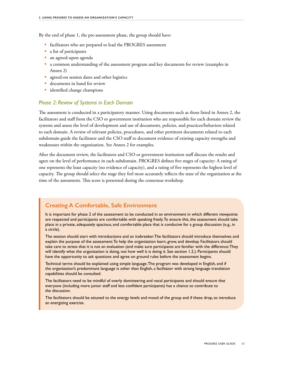By the end of phase 1, the pre-assessment phase, the group should have:

- facilitators who are prepared to lead the PROGRES assessment
- a list of participants
- an agreed-upon agenda
- a common understanding of the assessment program and key documents for review (examples in Annex 2)
- **agreed-on session dates and other logistics**
- **documents in hand for review**
- identified change champions

#### *Phase 2: Review of Systems in Each Domain*

The assessment is conducted in a participatory manner. Using documents such as those listed in Annex 2, the facilitators and staff from the CSO or government institution who are responsible for each domain review the systems and assess the level of development and use of documents, policies, and practices/behaviors related to each domain. A review of relevant policies, procedures, and other pertinent documents related to each subdomain guide the facilitator and the CSO staff to document evidence of existing capacity strengths and weaknesses within the organization. See Annex 2 for examples.

After the document review, the facilitators and CSO or government institution staff discuss the results and agree on the level of performance in each subdomain. PROGRES defines five stages of capacity: A rating of one represents the least capacity (no evidence of capacity), and a rating of five represents the highest level of capacity. The group should select the stage they feel most accurately reflects the state of the organization at the time of the assessment. This score is presented during the consensus workshop.

#### **Creating A Comfortable, Safe Environment**

It is important for phase 2 of the assessment to be conducted in an environment in which different viewpoints are respected and participants are comfortable with speaking freely. To ensure this, the assessment should take place in a private, adequately spacious, and comfortable place that is conducive for a group discussion (e.g., in a circle).

The session should start with introductions and an icebreaker. The facilitators should introduce themselves and explain the purpose of the assessment: To help the organization learn, grow, and develop. Facilitators should take care to stress that it is not an evaluation (and make sure participants are familiar with the difference: They will identify what the organization is doing, not how well it is doing it. See section 1.2.). Participants should have the opportunity to ask questions and agree on ground rules before the assessment begins.

Technical terms should be explained using simple language. The program was developed in English, and if the organization's predominant language is other than English, a facilitator with strong language translation capabilities should be consulted.

The facilitators need to be mindful of overly domineering and vocal participants and should ensure that everyone (including more junior staff and less confident participants) has a chance to contribute to the discussion.

The facilitators should be attuned to the energy levels and mood of the group and if these drop, to introduce an energizing exercise.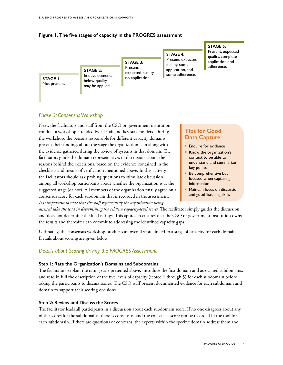

#### **Figure 1. The five stages of capacity in the PROGRES assessment**

#### *Phase 3: Consensus Workshop*

Next, the facilitators and staff from the CSO or government institution conduct a workshop attended by all staff and key stakeholders. During the workshop, the persons responsible for different capacity domains present their findings about the stage the organization is in along with the evidence gathered during the review of systems in that domain. The facilitators guide the domain representatives in discussions about the reasons behind their decisions, based on the evidence contained in the checklists and means of verification mentioned above. In this activity, the facilitators should ask probing questions to stimulate discussion among all workshop participants about whether the organization is at the suggested stage (or not). All members of the organization finally agree on a consensus score for each subdomain that is recorded in the assessment. *It is important to note that the staff representing the organization being* 

#### **Tips for Good Data Capture**

- **Enquire for evidence**
- Know the organization's context to be able to understand and summarize key points
- Be comprehensive but focused when capturing information
- Maintain focus on discussion and good listening skills

*assessed take the lead in determining the relative capacity-level scores.* The facilitator simply guides the discussion and does not determine the final ratings. This approach ensures that the CSO or government institution owns the results and thereafter can commit to addressing the identified capacity gaps.

Ultimately, the consensus workshop produces an overall score linked to a stage of capacity for each domain. Details about scoring are given below.

#### *Details about Scoring driving the PROGRES Assessment*

#### **Step 1: Rate the Organization's Domains and Subdomains**

The facilitators explain the rating scale presented above, introduce the first domain and associated subdomains, and read in full the description of the five levels of capacity (scored 1 through 5) for each subdomain before asking the participants to discuss scores. The CSO staff present documented evidence for each subdomain and domain to support their scoring decisions.

#### **Step 2: Review and Discuss the Scores**

The facilitator leads all participants in a discussion about each subdomain score. If no one disagrees about any of the scores for the subdomains, there is consensus, and the consensus score can be recorded in the tool for each subdomain. If there are questions or concerns, the experts within the specific domain address them and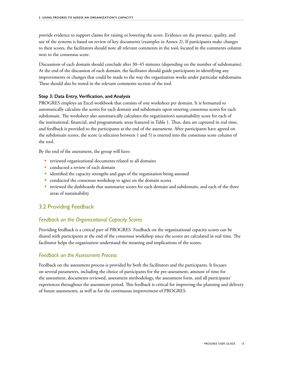<span id="page-14-0"></span>provide evidence to support claims for raising or lowering the score. Evidence on the presence, quality, and use of the systems is based on review of key documents (examples in Annex 2). If participants make changes to their scores, the facilitators should note all relevant comments in the tool, located in the comments column next to the consensus score.

Discussions of each domain should conclude after 30–45 minutes (depending on the number of subdomains). At the end of the discussion of each domain, the facilitator should guide participants in identifying any improvements or changes that could be made to the way the organization works under particular subdomains. These should also be noted in the relevant comments section of the tool.

#### **Step 3: Data Entry, Verification, and Analysis**

PROGRES employs an Excel workbook that consists of one worksheet per domain. It is formatted to automatically calculate the scores for each domain and subdomain upon entering consensus scores for each subdomain. The worksheet also automatically calculates the organization's sustainability score for each of the institutional, financial, and programmatic areas featured in Table 1. Thus, data are captured in real time, and feedback is provided to the participants at the end of the assessment. After participants have agreed on the subdomain scores, the score (a selection between 1 and 5) is entered into the consensus score column of the tool.

By the end of the assessment, the group will have:

- **reviewed organizational documents related to all domains**
- **conducted a review of each domain**
- identified the capacity strengths and gaps of the organization being assessed
- conducted the consensus workshop to agree on the domain scores
- reviewed the dashboards that summarize scores for each domain and subdomain, and each of the three areas of sustainability

#### 3.2 Providing Feedback

#### *Feedback on the Organizational Capacity Scores*

Providing feedback is a critical part of PROGRES. Feedback on the organizational capacity scores can be shared with participants at the end of the consensus workshop since the scores are calculated in real time. The facilitator helps the organization understand the meaning and implications of the scores.

#### *Feedback on the Assessment Process*

Feedback on the assessment process is provided by both the facilitators and the participants. It focuses on several parameters, including the choice of participants for the pre-assessment, amount of time for the assessment, documents reviewed, assessment methodology, the assessment form, and all participants' experiences throughout the assessment period. This feedback is critical for improving the planning and delivery of future assessments, as well as for the continuous improvement of PROGRES.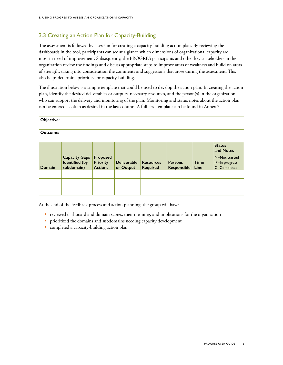#### 3.3 Creating an Action Plan for Capacity-Building

The assessment is followed by a session for creating a capacity-building action plan. By reviewing the dashboards in the tool, participants can see at a glance which dimensions of organizational capacity are most in need of improvement. Subsequently, the PROGRES participants and other key stakeholders in the organization review the findings and discuss appropriate steps to improve areas of weakness and build on areas of strength, taking into consideration the comments and suggestions that arose during the assessment. This also helps determine priorities for capacity-building.

The illustration below is a simple template that could be used to develop the action plan. In creating the action plan, identify the desired deliverables or outputs, necessary resources, and the person(s) in the organization who can support the delivery and monitoring of the plan. Monitoring and status notes about the action plan can be entered as often as desired in the last column. A full-size template can be found in Annex 3.

| Objective: |                                                             |                                               |                                 |                                     |                               |                     |                                                                              |
|------------|-------------------------------------------------------------|-----------------------------------------------|---------------------------------|-------------------------------------|-------------------------------|---------------------|------------------------------------------------------------------------------|
| Outcome:   |                                                             |                                               |                                 |                                     |                               |                     |                                                                              |
| Domain     | <b>Capacity Gaps</b><br><b>Identified</b> (by<br>subdomain) | Proposed<br><b>Priority</b><br><b>Actions</b> | <b>Deliverable</b><br>or Output | <b>Resources</b><br><b>Required</b> | <b>Persons</b><br>Responsible | <b>Time</b><br>Line | <b>Status</b><br>and Notes<br>N=Not started<br>IP=In progress<br>C=Completed |
|            |                                                             |                                               |                                 |                                     |                               |                     |                                                                              |
|            |                                                             |                                               |                                 |                                     |                               |                     |                                                                              |
|            |                                                             |                                               |                                 |                                     |                               |                     |                                                                              |

At the end of the feedback process and action planning, the group will have:

- reviewed dashboard and domain scores, their meaning, and implications for the organization
- **•** prioritized the domains and subdomains needing capacity development
- completed a capacity-building action plan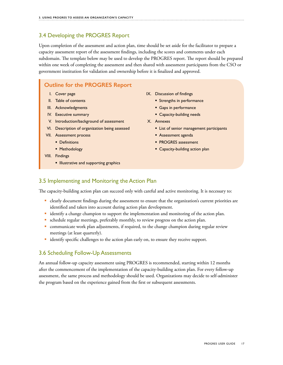#### <span id="page-16-0"></span>3.4 Developing the PROGRES Report

Upon completion of the assessment and action plan, time should be set aside for the facilitator to prepare a capacity assessment report of the assessment findings, including the scores and comments under each subdomain. The template below may be used to develop the PROGRES report. The report should be prepared within one week of completing the assessment and then shared with assessment participants from the CSO or government institution for validation and ownership before it is finalized and approved.

#### **Outline for the PROGRES Report**

- I. Cover page
- II. Table of contents
- III. Acknowledgments
- IV. Executive summary
- V. Introduction/background of assessment
- VI. Description of organization being assessed
- VII. Assessment process
	- **•** Definitions
	- **Methodology**
- VIII. Findings
	- **Illustrative and supporting graphics**
- IX. Discussion of findings
	- **Strengths in performance**
	- **Gaps in performance**
	- **Capacity-building needs**
- X. Annexes
	- **Exercise List of senior management participants**
	- **Assessment agenda**
	- **PROGRES** assessment
	- **Capacity-building action plan**

#### 3.5 Implementing and Monitoring the Action Plan

The capacity-building action plan can succeed only with careful and active monitoring. It is necessary to:

- clearly document findings during the assessment to ensure that the organization's current priorities are identified and taken into account during action plan development.
- identify a change champion to support the implementation and monitoring of the action plan.
- schedule regular meetings, preferably monthly, to review progress on the action plan.
- communicate work plan adjustments, if required, to the change champion during regular review meetings (at least quarterly).
- identify specific challenges to the action plan early on, to ensure they receive support.

#### 3.6 Scheduling Follow-Up Assessments

An annual follow-up capacity assessment using PROGRES is recommended, starting within 12 months after the commencement of the implementation of the capacity-building action plan. For every follow-up assessment, the same process and methodology should be used. Organizations may decide to self-administer the program based on the experience gained from the first or subsequent assessments.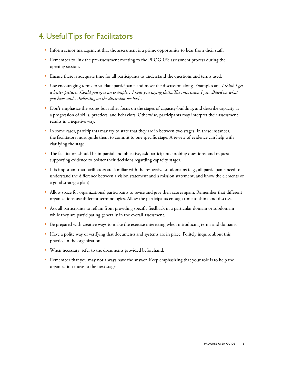## <span id="page-17-0"></span>4. Useful Tips for Facilitators

- § Inform senior management that the assessment is a prime opportunity to hear from their staff.
- Remember to link the pre-assessment meeting to the PROGRES assessment process during the opening session.
- Ensure there is adequate time for all participants to understand the questions and terms used.
- § Use encouraging terms to validate participants and move the discussion along. Examples are: *I think I get a better picture...Could you give an example…I hear you saying that...The impression I get...Based on what you have said…Reflecting on the discussion we had…*
- § Don't emphasize the scores but rather focus on the stages of capacity-building, and describe capacity as a progression of skills, practices, and behaviors. Otherwise, participants may interpret their assessment results in a negative way.
- § In some cases, participants may try to state that they are in between two stages. In these instances, the facilitators must guide them to commit to one specific stage. A review of evidence can help with clarifying the stage.
- § The facilitators should be impartial and objective, ask participants probing questions, and request supporting evidence to bolster their decisions regarding capacity stages.
- § It is important that facilitators are familiar with the respective subdomains (e.g., all participants need to understand the difference between a vision statement and a mission statement, and know the elements of a good strategic plan).
- § Allow space for organizational participants to revise and give their scores again. Remember that different organizations use different terminologies. Allow the participants enough time to think and discuss.
- § Ask all participants to refrain from providing specific feedback in a particular domain or subdomain while they are participating generally in the overall assessment.
- Be prepared with creative ways to make the exercise interesting when introducing terms and domains.
- § Have a polite way of verifying that documents and systems are in place. Politely inquire about this practice in the organization.
- § When necessary, refer to the documents provided beforehand.
- Remember that you may not always have the answer. Keep emphasizing that your role is to help the organization move to the next stage.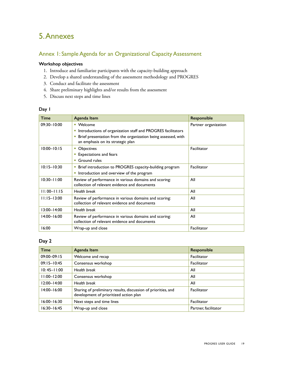## <span id="page-18-0"></span>5. Annexes

#### Annex 1: Sample Agenda for an Organizational Capacity Assessment

#### **Workshop objectives**

- 1. Introduce and familiarize participants with the capacity-building approach
- 2. Develop a shared understanding of the assessment methodology and PROGRES
- 3. Conduct and facilitate the assessment
- 4. Share preliminary highlights and/or results from the assessment
- 5. Discuss next steps and time lines

#### **Day 1**

| <b>Time</b>     | Agenda Item                                                                                             | <b>Responsible</b>   |
|-----------------|---------------------------------------------------------------------------------------------------------|----------------------|
| $09:30 - 10:00$ | • Welcome                                                                                               | Partner organization |
|                 | Introductions of organization staff and PROGRES facilitators<br>ш                                       |                      |
|                 | Brief presentation from the organization being assessed, with<br>×<br>an emphasis on its strategic plan |                      |
| $10:00 - 10:15$ | <b>Objectives</b><br>ш                                                                                  | Facilitator          |
|                 | <b>Expectations and fears</b>                                                                           |                      |
|                 | Ground rules<br>ш                                                                                       |                      |
| $10:15 - 10:30$ | Brief introduction to PROGRES capacity-building program<br>ш                                            | Facilitator          |
|                 | Introduction and overview of the program<br>ш                                                           |                      |
| $10:30 - 11:00$ | Review of performance in various domains and scoring:<br>collection of relevant evidence and documents  | All                  |
| $11:00 - 11:15$ | <b>Health break</b>                                                                                     | All                  |
| $11:15 - 13:00$ | Review of performance in various domains and scoring:<br>collection of relevant evidence and documents  | All                  |
| $13:00 - 14:00$ | <b>Health break</b>                                                                                     | All                  |
| $14:00 - 16:00$ | Review of performance in various domains and scoring:<br>collection of relevant evidence and documents  | All                  |
| 16:00           | Wrap-up and close                                                                                       | Facilitator          |

#### **Day 2**

| <b>Time</b>     | Agenda Item                                                                                             | Responsible          |
|-----------------|---------------------------------------------------------------------------------------------------------|----------------------|
| $09:00 - 09:15$ | Welcome and recap                                                                                       | Facilitator          |
| $09:15 - 10:45$ | Consensus workshop<br>Facilitator                                                                       |                      |
| $10:45 - 11:00$ | <b>Health break</b>                                                                                     | All                  |
| $11:00 - 12:00$ | Consensus workshop                                                                                      | All                  |
| $12:00 - 14:00$ | <b>Health break</b>                                                                                     | All                  |
| $14:00 - 16:00$ | Sharing of preliminary results, discussion of priorities, and<br>development of prioritized action plan | Facilitator          |
| $16:00 - 16:30$ | Next steps and time lines                                                                               | Facilitator          |
| $16:30 - 16:45$ | Wrap-up and close                                                                                       | Partner, facilitator |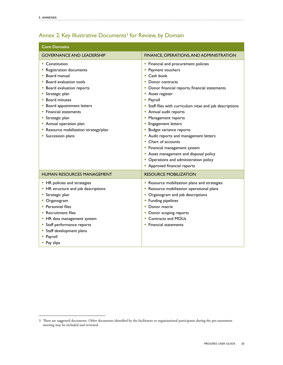#### <span id="page-19-0"></span>Annex 2: Key Illustrative Documents<sup>3</sup> for Review, by Domain

| <b>Core Domains</b>                                                                                                                                                                                                                                                                                                                             |                                                                                                                                                                                                                                                                                                                                                                                                                                                                                                                                                                                                |
|-------------------------------------------------------------------------------------------------------------------------------------------------------------------------------------------------------------------------------------------------------------------------------------------------------------------------------------------------|------------------------------------------------------------------------------------------------------------------------------------------------------------------------------------------------------------------------------------------------------------------------------------------------------------------------------------------------------------------------------------------------------------------------------------------------------------------------------------------------------------------------------------------------------------------------------------------------|
| <b>GOVERNANCE AND LEADERSHIP</b>                                                                                                                                                                                                                                                                                                                | FINANCE, OPERATIONS, AND ADMINISTRATION                                                                                                                                                                                                                                                                                                                                                                                                                                                                                                                                                        |
| • Constitution<br>• Registration documents<br>• Board manual<br>• Board evaluation tools<br>• Board evaluation reports<br><b>Strategic plan</b><br><b>Board minutes</b><br>Board appointment letters<br>• Financial statements<br><b>Strategic plan</b><br>• Annual operation plan<br>Resource mobilization strategy/plan<br>• Succession plans | • Financial and procurement policies<br>• Payment vouchers<br>$\blacksquare$ Cash book<br>• Donor contracts<br>• Donor financial reports, financial statements<br>Asset register<br>• Payroll<br>• Staff files with curriculum vitae and job descriptions<br>• Annual audit reports<br>• Management reports<br><b>Engagement letters</b><br><b>Budget variance reports</b><br>• Audit reports and management letters<br>• Chart of accounts<br>• Financial management system<br>Asset management and disposal policy<br>• Operations and administration policy<br>• Approved financial reports |
| <b>HUMAN RESOURCES MANAGEMENT</b>                                                                                                                                                                                                                                                                                                               | <b>RESOURCE MOBILIZATION</b>                                                                                                                                                                                                                                                                                                                                                                                                                                                                                                                                                                   |
| • HR policies and strategies<br>• HR structure and job descriptions<br><b>Strategic plan</b><br>• Organogram<br>• Personnel files<br>• Recruitment files<br>• HR data management system<br>• Staff performance reports<br>• Staff development plans<br>• Payroll<br>• Pay slips                                                                 | Resource mobilization plans and strategies<br>Resource mobilization operational plans<br>• Organogram and job descriptions<br>• Funding pipelines<br>$\blacksquare$ Donor matrix<br>• Donor scoping reports<br>• Contracts and MOUs<br>• Financial statements                                                                                                                                                                                                                                                                                                                                  |

<sup>3</sup> These are suggested documents. Other documents identified by the facilitators or organizational participants during the pre-assessment meeting may be included and reviewed.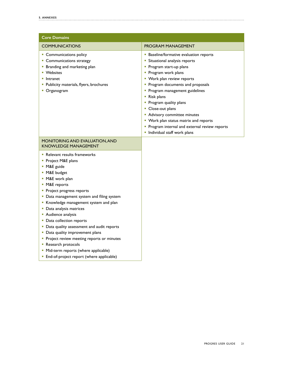| <b>Core Domains</b>                                                                                                                                                                                                                                                                                                                                                                                                                                                                                                                                                                           |                                                                                                                                                                                                                                                                                                                                                                                                                                                                    |  |  |
|-----------------------------------------------------------------------------------------------------------------------------------------------------------------------------------------------------------------------------------------------------------------------------------------------------------------------------------------------------------------------------------------------------------------------------------------------------------------------------------------------------------------------------------------------------------------------------------------------|--------------------------------------------------------------------------------------------------------------------------------------------------------------------------------------------------------------------------------------------------------------------------------------------------------------------------------------------------------------------------------------------------------------------------------------------------------------------|--|--|
| <b>COMMUNICATIONS</b>                                                                                                                                                                                                                                                                                                                                                                                                                                                                                                                                                                         | <b>PROGRAM MANAGEMENT</b>                                                                                                                                                                                                                                                                                                                                                                                                                                          |  |  |
| • Communications policy<br>• Communications strategy<br><b>Branding and marketing plan</b><br>Websites<br>Intranet<br>Publicity materials, flyers, brochures<br>• Organogram                                                                                                                                                                                                                                                                                                                                                                                                                  | <b>Baseline/formative evaluation reports</b><br>• Situational analysis reports<br>• Program start-up plans<br>• Program work plans<br>• Work plan review reports<br>• Program documents and proposals<br>• Program management guidelines<br>• Risk plans<br>• Program quality plans<br>• Close-out plans<br>• Advisory committee minutes<br>• Work plan status matrix and reports<br>• Program internal and external review reports<br>Individual staff work plans |  |  |
| MONITORING AND EVALUATION, AND<br><b>KNOWLEDGE MANAGEMENT</b><br>• Relevant results frameworks<br>• Project M&E plans<br>• M&E guide<br>• M&E budget<br>• M&E work plan<br>• M&E reports<br>• Project progress reports<br>• Data management system and filing system<br>Knowledge management system and plan<br>• Data analysis matrices<br>• Audience analysis<br>• Data collection reports<br>• Data quality assessment and audit reports<br>• Data quality improvement plans<br>• Project review meeting reports or minutes<br>Research protocols<br>• Mid-term reports (where applicable) |                                                                                                                                                                                                                                                                                                                                                                                                                                                                    |  |  |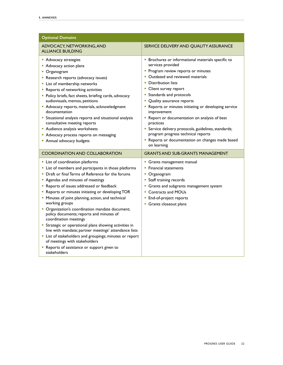| <b>Optional Domains</b>                                                                                                                                                                                                                                                                                                                                                                                                                                                                                                                                                                                                                                                                                                                                          |                                                                                                                                                                                                                                                                                                                                                                                                                                                                                                                                                                             |
|------------------------------------------------------------------------------------------------------------------------------------------------------------------------------------------------------------------------------------------------------------------------------------------------------------------------------------------------------------------------------------------------------------------------------------------------------------------------------------------------------------------------------------------------------------------------------------------------------------------------------------------------------------------------------------------------------------------------------------------------------------------|-----------------------------------------------------------------------------------------------------------------------------------------------------------------------------------------------------------------------------------------------------------------------------------------------------------------------------------------------------------------------------------------------------------------------------------------------------------------------------------------------------------------------------------------------------------------------------|
| ADVOCACY, NETWORKING, AND<br><b>ALLIANCE BUILDING</b>                                                                                                                                                                                                                                                                                                                                                                                                                                                                                                                                                                                                                                                                                                            | SERVICE DELIVERY AND QUALITY ASSURANCE                                                                                                                                                                                                                                                                                                                                                                                                                                                                                                                                      |
| Advocacy strategies<br>• Advocacy action plans<br>• Organogram<br>Research reports (advocacy issues)<br>• List of membership networks<br>• Reports of networking activities<br>• Policy briefs, fact sheets, briefing cards, advocacy<br>audiovisuals, memos, petitions<br>Advocacy reports, materials, acknowledgment<br>documentation<br>• Situational analysis reports and situational analysis<br>consultative meeting reports<br>Audience analysis worksheets<br>• Advocacy process reports on messaging<br>• Annual advocacy budgets                                                                                                                                                                                                                       | • Brochures or informational materials specific to<br>services provided<br>• Program review reports or minutes<br>• Outdated and reviewed materials<br>• Distribution lists<br>• Client survey report<br>• Standards and protocols<br>Quality assurance reports<br>ш<br>" Reports or minutes initiating or developing service<br>improvement<br>" Report or documentation on analysis of best<br>practices<br>• Service delivery protocols, guidelines, standards;<br>program progress technical reports<br>" Reports or documentation on changes made based<br>on learning |
| <b>COORDINATION AND COLLABORATION</b>                                                                                                                                                                                                                                                                                                                                                                                                                                                                                                                                                                                                                                                                                                                            | <b>GRANTS AND SUB-GRANTS MANAGEMENT</b>                                                                                                                                                                                                                                                                                                                                                                                                                                                                                                                                     |
| • List of coordination platforms<br>• List of members and participants in those platforms<br>• Draft or final Terms of Reference for the forums<br>" Agendas and minutes of meetings<br>Reports of issues addressed or feedback<br>" Reports or minutes initiating or developing TOR<br>" Minutes of joint planning, action, and technical<br>working groups<br>• Organization's coordination mandate document;<br>policy documents; reports and minutes of<br>coordination meetings<br>• Strategic or operational plans showing activities in<br>line with mandate; partner meetings' attendance lists<br>• List of stakeholders and groupings; minutes or report<br>of meetings with stakeholders<br>Reports of assistance or support given to<br>stakeholders | • Grants management manual<br>• Financial statements<br>• Organogram<br>• Staff training records<br>• Grants and subgrants management system<br><b>Contracts and MOUs</b><br><b>End-of-project reports</b><br>Grants closeout plans                                                                                                                                                                                                                                                                                                                                         |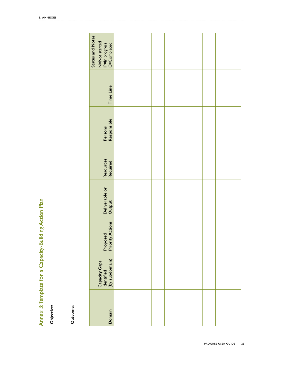<span id="page-22-0"></span>

| Annex 3: Template for a Capacity-Building Action Plan | Objective: | Outcome: | <b>Status and Notes</b><br>N=Not started<br>IP=In progress<br>C=Completed |  |  |  |  |  |
|-------------------------------------------------------|------------|----------|---------------------------------------------------------------------------|--|--|--|--|--|
|                                                       |            |          | Time Line                                                                 |  |  |  |  |  |
|                                                       |            |          | Responsible<br>Persons                                                    |  |  |  |  |  |
|                                                       |            |          | Resources<br>Required                                                     |  |  |  |  |  |
|                                                       |            |          | Deliverable or<br>Output                                                  |  |  |  |  |  |
|                                                       |            |          | Proposed<br>Priority Actions                                              |  |  |  |  |  |
|                                                       |            |          | (by subdomain)<br>Capacity Gaps<br>Identified                             |  |  |  |  |  |
|                                                       |            |          | Domain                                                                    |  |  |  |  |  |